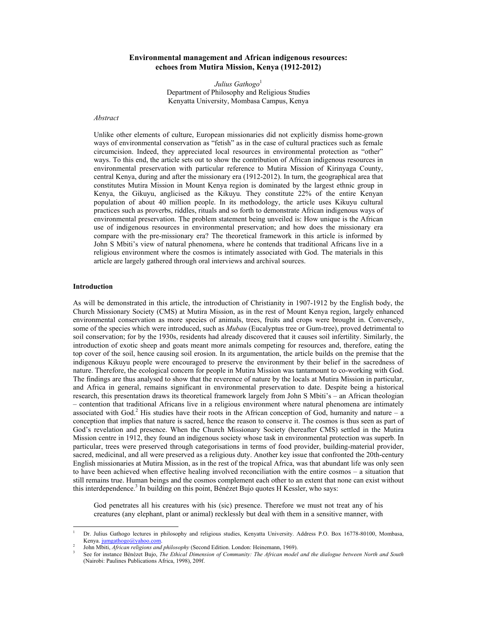# **Environmental management and African indigenous resources: echoes from Mutira Mission, Kenya (1912-2012)**

*Julius Gathogo*<sup>1</sup> Department of Philosophy and Religious Studies Kenyatta University, Mombasa Campus, Kenya

# *Abstract*

Unlike other elements of culture, European missionaries did not explicitly dismiss home-grown ways of environmental conservation as "fetish" as in the case of cultural practices such as female circumcision. Indeed, they appreciated local resources in environmental protection as "other" ways. To this end, the article sets out to show the contribution of African indigenous resources in environmental preservation with particular reference to Mutira Mission of Kirinyaga County, central Kenya, during and after the missionary era (1912-2012). In turn, the geographical area that constitutes Mutira Mission in Mount Kenya region is dominated by the largest ethnic group in Kenya, the Gikuyu, anglicised as the Kikuyu. They constitute 22% of the entire Kenyan population of about 40 million people. In its methodology, the article uses Kikuyu cultural practices such as proverbs, riddles, rituals and so forth to demonstrate African indigenous ways of environmental preservation. The problem statement being unveiled is: How unique is the African use of indigenous resources in environmental preservation; and how does the missionary era compare with the pre-missionary era? The theoretical framework in this article is informed by John S Mbiti's view of natural phenomena, where he contends that traditional Africans live in a religious environment where the cosmos is intimately associated with God. The materials in this article are largely gathered through oral interviews and archival sources.

# **Introduction**

-

As will be demonstrated in this article, the introduction of Christianity in 1907-1912 by the English body, the Church Missionary Society (CMS) at Mutira Mission, as in the rest of Mount Kenya region, largely enhanced environmental conservation as more species of animals, trees, fruits and crops were brought in. Conversely, some of the species which were introduced, such as *Mubau* (Eucalyptus tree or Gum-tree), proved detrimental to soil conservation; for by the 1930s, residents had already discovered that it causes soil infertility. Similarly, the introduction of exotic sheep and goats meant more animals competing for resources and, therefore, eating the top cover of the soil, hence causing soil erosion. In its argumentation, the article builds on the premise that the indigenous Kikuyu people were encouraged to preserve the environment by their belief in the sacredness of nature. Therefore, the ecological concern for people in Mutira Mission was tantamount to co-working with God. The findings are thus analysed to show that the reverence of nature by the locals at Mutira Mission in particular, and Africa in general, remains significant in environmental preservation to date. Despite being a historical research, this presentation draws its theoretical framework largely from John S Mbiti's – an African theologian – contention that traditional Africans live in a religious environment where natural phenomena are intimately associated with God.<sup>2</sup> His studies have their roots in the African conception of God, humanity and nature – a conception that implies that nature is sacred, hence the reason to conserve it. The cosmos is thus seen as part of God's revelation and presence. When the Church Missionary Society (hereafter CMS) settled in the Mutira Mission centre in 1912, they found an indigenous society whose task in environmental protection was superb. In particular, trees were preserved through categorisations in terms of food provider, building-material provider, sacred, medicinal, and all were preserved as a religious duty. Another key issue that confronted the 20th-century English missionaries at Mutira Mission, as in the rest of the tropical Africa, was that abundant life was only seen to have been achieved when effective healing involved reconciliation with the entire cosmos – a situation that still remains true. Human beings and the cosmos complement each other to an extent that none can exist without this interdependence.<sup>3</sup> In building on this point, Bénézet Bujo quotes H Kessler, who says:

God penetrates all his creatures with his (sic) presence. Therefore we must not treat any of his creatures (any elephant, plant or animal) recklessly but deal with them in a sensitive manner, with

1 Dr. Julius Gathogo lectures in philosophy and religious studies, Kenyatta University. Address P.O. Box 16778-80100, Mombasa, Kenya. jumgathogo@yahoo.com.

John Mbiti, *African religions and philosophy* (Second Edition. London: Heinemann, 1969).

See for instance Bénézet Bujo, *The Ethical Dimension of Community: The African model and the dialogue between North and South*  (Nairobi: Paulines Publications Africa, 1998), 209f.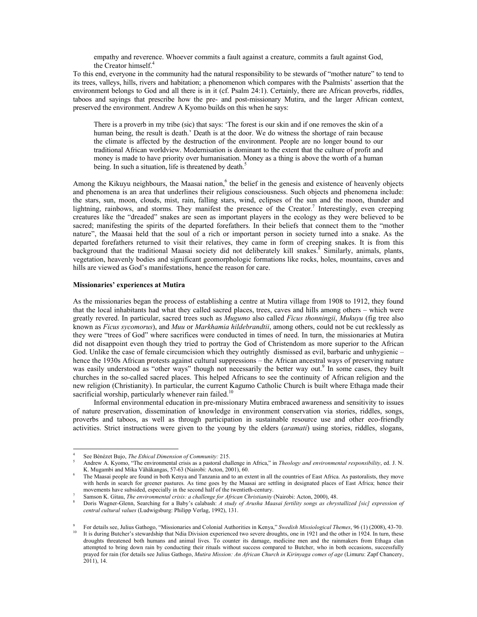empathy and reverence. Whoever commits a fault against a creature, commits a fault against God, the Creator himself.<sup>4</sup>

To this end, everyone in the community had the natural responsibility to be stewards of "mother nature" to tend to its trees, valleys, hills, rivers and habitation; a phenomenon which compares with the Psalmists' assertion that the environment belongs to God and all there is in it (cf. Psalm 24:1). Certainly, there are African proverbs, riddles, taboos and sayings that prescribe how the pre- and post-missionary Mutira, and the larger African context, preserved the environment. Andrew A Kyomo builds on this when he says:

There is a proverb in my tribe (sic) that says: 'The forest is our skin and if one removes the skin of a human being, the result is death.' Death is at the door. We do witness the shortage of rain because the climate is affected by the destruction of the environment. People are no longer bound to our traditional African worldview. Modernisation is dominant to the extent that the culture of profit and money is made to have priority over humanisation. Money as a thing is above the worth of a human being. In such a situation, life is threatened by death.<sup>5</sup>

Among the Kikuyu neighbours, the Maasai nation,<sup>6</sup> the belief in the genesis and existence of heavenly objects and phenomena is an area that underlines their religious consciousness. Such objects and phenomena include: the stars, sun, moon, clouds, mist, rain, falling stars, wind, eclipses of the sun and the moon, thunder and lightning, rainbows, and storms. They manifest the presence of the Creator.<sup>7</sup> Interestingly, even creeping creatures like the "dreaded" snakes are seen as important players in the ecology as they were believed to be sacred; manifesting the spirits of the departed forefathers. In their beliefs that connect them to the "mother nature", the Maasai held that the soul of a rich or important person in society turned into a snake. As the departed forefathers returned to visit their relatives, they came in form of creeping snakes. It is from this background that the traditional Maasai society did not deliberately kill snakes.<sup>8</sup> Similarly, animals, plants, vegetation, heavenly bodies and significant geomorphologic formations like rocks, holes, mountains, caves and hills are viewed as God's manifestations, hence the reason for care.

#### **Missionaries' experiences at Mutira**

As the missionaries began the process of establishing a centre at Mutira village from 1908 to 1912, they found that the local inhabitants had what they called sacred places, trees, caves and hills among others – which were greatly revered. In particular, sacred trees such as *Mugumo* also called *Ficus thonningii*, *Mukuyu* (fig tree also known as *Ficus sycomorus*), and *Muu* or *Markhamia hildebrandtii*, among others, could not be cut recklessly as they were "trees of God" where sacrifices were conducted in times of need. In turn, the missionaries at Mutira did not disappoint even though they tried to portray the God of Christendom as more superior to the African God. Unlike the case of female circumcision which they outrightly dismissed as evil, barbaric and unhygienic – hence the 1930s African protests against cultural suppressions – the African ancestral ways of preserving nature was easily understood as "other ways" though not necessarily the better way out.<sup>9</sup> In some cases, they built churches in the so-called sacred places. This helped Africans to see the continuity of African religion and the new religion (Christianity). In particular, the current Kagumo Catholic Church is built where Ethaga made their sacrificial worship, particularly whenever rain failed.<sup>10</sup>

 Informal environmental education in pre-missionary Mutira embraced awareness and sensitivity to issues of nature preservation, dissemination of knowledge in environment conservation via stories, riddles, songs, proverbs and taboos, as well as through participation in sustainable resource use and other eco-friendly activities. Strict instructions were given to the young by the elders (*aramati*) using stories, riddles, slogans,

-

<sup>4</sup> See Bénézet Bujo, *The Ethical Dimension of Community:* 215.

Andrew A. Kyomo, "The environmental crisis as a pastoral challenge in Africa," in *Theology and environmental responsibility*, ed. J. N. K. Mugambi and Mika Vähäkangas, 57-63 (Nairobi: Acton, 2001), 60.

The Maasai people are found in both Kenya and Tanzania and to an extent in all the countries of East Africa. As pastoralists, they move with herds in search for greener pastures. As time goes by the Maasai are settling in designated places of East Africa; hence their movements have subsided, especially in the second half of the twentieth-century.

Samson K. Gitau, *The environmental crisis: a challenge for African Christianity* (Nairobi: Acton, 2000), 48.

Doris Wagner-Glenn, Searching for a Baby's calabash: *A study of Arusha Maasai fertility songs as chrystallized [sic] expression of central cultural values* (Ludwigsburg: Philipp Verlag, 1992), 131.

<sup>9</sup> <sup>9</sup> For details see, Julius Gathogo, "Missionaries and Colonial Authorities in Kenya," *Swedish Missiological Themes*, 96 (1) (2008), 43-70.<br><sup>10</sup> It is during Butcher's stewardship that Ndia Division experienced two sever droughts threatened both humans and animal lives. To counter its damage, medicine men and the rainmakers from Ethaga clan attempted to bring down rain by conducting their rituals without success compared to Butcher, who in both occasions, successfully prayed for rain (for details see Julius Gathogo, *Mutira Mission: An African Church in Kirinyaga comes of age* (Limuru: Zapf Chancery, 2011), 14.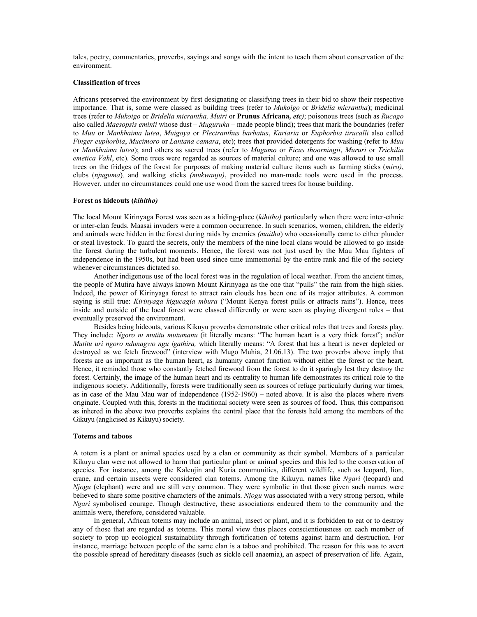tales, poetry, commentaries, proverbs, sayings and songs with the intent to teach them about conservation of the environment.

# **Classification of trees**

Africans preserved the environment by first designating or classifying trees in their bid to show their respective importance. That is, some were classed as building trees (refer to *Mukoigo* or *Bridelia micrantha*); medicinal trees (refer to *Mukoigo* or *Bridelia micrantha, Muiri* or **Prunus Africana***, etc)*; poisonous trees (such as *Rucago*  also called *Maesopsis eminii* whose dust *– Muguruka –* made people blind); trees that mark the boundaries (refer to *Muu* or *Mankhaima lutea*, *Muigoya* or *Plectranthus barbatus*, *Kariaria* or *Euphorbia tirucalli* also called *Finger euphorbia*, *Mucimoro* or *Lantana camara*, etc); trees that provided detergents for washing (refer to *Muu*  or *Mankhaima lutea*); and others as sacred trees (refer to *Mugumo* or *Ficus thoorningii*, *Mururi* or *Trichilia emetica Vahl*, etc). Some trees were regarded as sources of material culture; and one was allowed to use small trees on the fridges of the forest for purposes of making material culture items such as farming sticks (*miro)*, clubs (*njuguma*)*,* and walking sticks *(mukwanju)*, provided no man-made tools were used in the process. However, under no circumstances could one use wood from the sacred trees for house building.

# **Forest as hideouts (***kihitho)*

The local Mount Kirinyaga Forest was seen as a hiding-place (*kihitho)* particularly when there were inter-ethnic or inter-clan feuds. Maasai invaders were a common occurrence. In such scenarios, women, children, the elderly and animals were hidden in the forest during raids by enemies *(maitha*) who occasionally came to either plunder or steal livestock. To guard the secrets, only the members of the nine local clans would be allowed to go inside the forest during the turbulent moments. Hence, the forest was not just used by the Mau Mau fighters of independence in the 1950s, but had been used since time immemorial by the entire rank and file of the society whenever circumstances dictated so.

 Another indigenous use of the local forest was in the regulation of local weather. From the ancient times, the people of Mutira have always known Mount Kirinyaga as the one that "pulls" the rain from the high skies. Indeed, the power of Kirinyaga forest to attract rain clouds has been one of its major attributes. A common saying is still true: *Kirinyaga kigucagia mbura* ("Mount Kenya forest pulls or attracts rains"). Hence, trees inside and outside of the local forest were classed differently or were seen as playing divergent roles – that eventually preserved the environment.

 Besides being hideouts, various Kikuyu proverbs demonstrate other critical roles that trees and forests play. They include: *Ngoro ni mutitu mutumanu* (it literally means: "The human heart is a very thick forest"; and/or *Mutitu uri ngoro ndunagwo ngu igathira,* which literally means: "A forest that has a heart is never depleted or destroyed as we fetch firewood" (interview with Mugo Muhia, 21.06.13). The two proverbs above imply that forests are as important as the human heart, as humanity cannot function without either the forest or the heart. Hence, it reminded those who constantly fetched firewood from the forest to do it sparingly lest they destroy the forest. Certainly, the image of the human heart and its centrality to human life demonstrates its critical role to the indigenous society. Additionally, forests were traditionally seen as sources of refuge particularly during war times, as in case of the Mau Mau war of independence (1952-1960) – noted above. It is also the places where rivers originate. Coupled with this, forests in the traditional society were seen as sources of food. Thus, this comparison as inhered in the above two proverbs explains the central place that the forests held among the members of the Gikuyu (anglicised as Kikuyu) society.

### **Totems and taboos**

A totem is a plant or animal species used by a clan or community as their symbol. Members of a particular Kikuyu clan were not allowed to harm that particular plant or animal species and this led to the conservation of species. For instance, among the Kalenjin and Kuria communities, different wildlife, such as leopard, lion, crane, and certain insects were considered clan totems. Among the Kikuyu, names like *Ngari* (leopard) and *Njogu* (elephant) were and are still very common. They were symbolic in that those given such names were believed to share some positive characters of the animals. *Njogu* was associated with a very strong person, while *Ngari* symbolised courage. Though destructive, these associations endeared them to the community and the animals were, therefore, considered valuable.

 In general, African totems may include an animal, insect or plant, and it is forbidden to eat or to destroy any of those that are regarded as totems. This moral view thus places conscientiousness on each member of society to prop up ecological sustainability through fortification of totems against harm and destruction. For instance, marriage between people of the same clan is a taboo and prohibited. The reason for this was to avert the possible spread of hereditary diseases (such as sickle cell anaemia), an aspect of preservation of life. Again,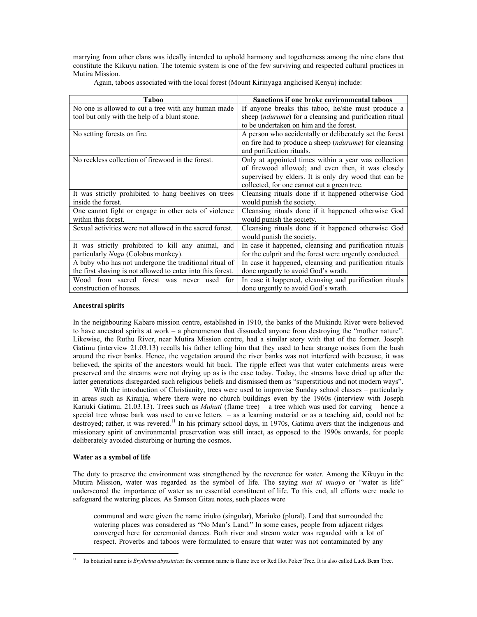marrying from other clans was ideally intended to uphold harmony and togetherness among the nine clans that constitute the Kikuyu nation. The totemic system is one of the few surviving and respected cultural practices in Mutira Mission.

Again, taboos associated with the local forest (Mount Kirinyaga anglicised Kenya) include:

| Taboo                                                       | <b>Sanctions if one broke environmental taboos</b>               |
|-------------------------------------------------------------|------------------------------------------------------------------|
| No one is allowed to cut a tree with any human made         | If anyone breaks this taboo, he/she must produce a               |
| tool but only with the help of a blunt stone.               | sheep ( <i>ndurume</i> ) for a cleansing and purification ritual |
|                                                             | to be undertaken on him and the forest.                          |
| No setting forests on fire.                                 | A person who accidentally or deliberately set the forest         |
|                                                             | on fire had to produce a sheep ( <i>ndurume</i> ) for cleansing  |
|                                                             | and purification rituals.                                        |
| No reckless collection of firewood in the forest.           | Only at appointed times within a year was collection             |
|                                                             | of firewood allowed; and even then, it was closely               |
|                                                             | supervised by elders. It is only dry wood that can be            |
|                                                             | collected, for one cannot cut a green tree.                      |
| It was strictly prohibited to hang beenives on trees        | Cleansing rituals done if it happened otherwise God              |
| inside the forest.                                          | would punish the society.                                        |
| One cannot fight or engage in other acts of violence        | Cleansing rituals done if it happened otherwise God              |
| within this forest.                                         | would punish the society.                                        |
| Sexual activities were not allowed in the sacred forest.    | Cleansing rituals done if it happened otherwise God              |
|                                                             | would punish the society.                                        |
| It was strictly prohibited to kill any animal, and          | In case it happened, cleansing and purification rituals          |
| particularly Nugu (Colobus monkey).                         | for the culprit and the forest were urgently conducted.          |
| A baby who has not undergone the traditional ritual of      | In case it happened, cleansing and purification rituals          |
| the first shaving is not allowed to enter into this forest. | done urgently to avoid God's wrath.                              |
| Wood from sacred forest was never used<br>for               | In case it happened, cleansing and purification rituals          |
| construction of houses.                                     | done urgently to avoid God's wrath.                              |

# **Ancestral spirits**

In the neighbouring Kabare mission centre, established in 1910, the banks of the Mukindu River were believed to have ancestral spirits at work – a phenomenon that dissuaded anyone from destroying the "mother nature". Likewise, the Ruthu River, near Mutira Mission centre, had a similar story with that of the former. Joseph Gatimu (interview 21.03.13) recalls his father telling him that they used to hear strange noises from the bush around the river banks. Hence, the vegetation around the river banks was not interfered with because, it was believed, the spirits of the ancestors would hit back. The ripple effect was that water catchments areas were preserved and the streams were not drying up as is the case today. Today, the streams have dried up after the latter generations disregarded such religious beliefs and dismissed them as "superstitious and not modern ways".

With the introduction of Christianity, trees were used to improvise Sunday school classes – particularly in areas such as Kiranja, where there were no church buildings even by the 1960s (interview with Joseph Kariuki Gatimu, 21.03.13). Trees such as *Muhuti* (flame tree) – a tree which was used for carving – hence a special tree whose bark was used to carve letters – as a learning material or as a teaching aid, could not be destroyed; rather, it was revered.<sup>11</sup> In his primary school days, in 1970s, Gatimu avers that the indigenous and missionary spirit of environmental preservation was still intact, as opposed to the 1990s onwards, for people deliberately avoided disturbing or hurting the cosmos.

# **Water as a symbol of life**

The duty to preserve the environment was strengthened by the reverence for water. Among the Kikuyu in the Mutira Mission, water was regarded as the symbol of life. The saying *mai ni muoyo* or "water is life" underscored the importance of water as an essential constituent of life. To this end, all efforts were made to safeguard the watering places. As Samson Gitau notes, such places were

communal and were given the name iriuko (singular), Mariuko (plural). Land that surrounded the watering places was considered as "No Man's Land." In some cases, people from adjacent ridges converged here for ceremonial dances. Both river and stream water was regarded with a lot of respect. Proverbs and taboos were formulated to ensure that water was not contaminated by any

<sup>-</sup>11 Its botanical name is *Erythrina abyssinica***:** the common name is flame tree or Red Hot Poker Tree**.** It is also called Luck Bean Tree.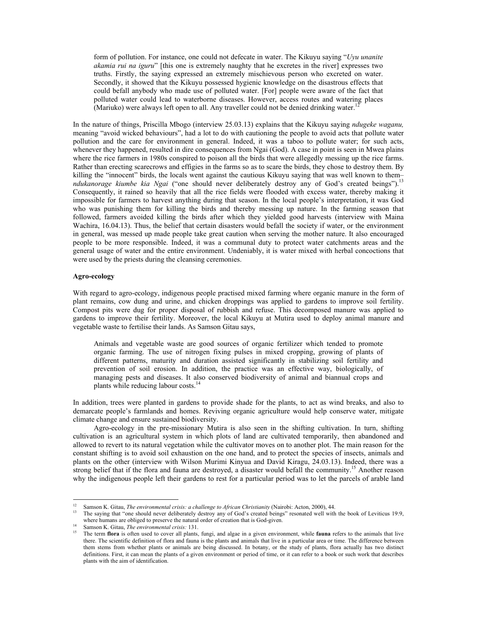form of pollution. For instance, one could not defecate in water. The Kikuyu saying "*Uyu unanite akamia rui na iguru*" [this one is extremely naughty that he excretes in the river] expresses two truths. Firstly, the saying expressed an extremely mischievous person who excreted on water. Secondly, it showed that the Kikuyu possessed hygienic knowledge on the disastrous effects that could befall anybody who made use of polluted water. [For] people were aware of the fact that polluted water could lead to waterborne diseases. However, access routes and watering places (Mariuko) were always left open to all. Any traveller could not be denied drinking water.<sup>1</sup>

In the nature of things, Priscilla Mbogo (interview 25.03.13) explains that the Kikuyu saying *ndugeke waganu,* meaning "avoid wicked behaviours", had a lot to do with cautioning the people to avoid acts that pollute water pollution and the care for environment in general. Indeed, it was a taboo to pollute water; for such acts, whenever they happened, resulted in dire consequences from Ngai (God). A case in point is seen in Mwea plains where the rice farmers in 1980s conspired to poison all the birds that were allegedly messing up the rice farms. Rather than erecting scarecrows and effigies in the farms so as to scare the birds, they chose to destroy them. By killing the "innocent" birds, the locals went against the cautious Kikuyu saying that was well known to them– *ndukanorage kiumbe kia Ngai* ("one should never deliberately destroy any of God's created beings").13 Consequently, it rained so heavily that all the rice fields were flooded with excess water, thereby making it impossible for farmers to harvest anything during that season. In the local people's interpretation, it was God who was punishing them for killing the birds and thereby messing up nature. In the farming season that followed, farmers avoided killing the birds after which they yielded good harvests (interview with Maina Wachira, 16.04.13). Thus, the belief that certain disasters would befall the society if water, or the environment in general, was messed up made people take great caution when serving the mother nature. It also encouraged people to be more responsible. Indeed, it was a communal duty to protect water catchments areas and the general usage of water and the entire environment. Undeniably, it is water mixed with herbal concoctions that were used by the priests during the cleansing ceremonies.

### **Agro-ecology**

-

With regard to agro-ecology, indigenous people practised mixed farming where organic manure in the form of plant remains, cow dung and urine, and chicken droppings was applied to gardens to improve soil fertility. Compost pits were dug for proper disposal of rubbish and refuse. This decomposed manure was applied to gardens to improve their fertility. Moreover, the local Kikuyu at Mutira used to deploy animal manure and vegetable waste to fertilise their lands. As Samson Gitau says,

Animals and vegetable waste are good sources of organic fertilizer which tended to promote organic farming. The use of nitrogen fixing pulses in mixed cropping, growing of plants of different patterns, maturity and duration assisted significantly in stabilizing soil fertility and prevention of soil erosion. In addition, the practice was an effective way, biologically, of managing pests and diseases. It also conserved biodiversity of animal and biannual crops and plants while reducing labour costs.<sup>14</sup>

In addition, trees were planted in gardens to provide shade for the plants, to act as wind breaks, and also to demarcate people's farmlands and homes. Reviving organic agriculture would help conserve water, mitigate climate change and ensure sustained biodiversity.

 Agro-ecology in the pre-missionary Mutira is also seen in the shifting cultivation. In turn, shifting cultivation is an agricultural system in which plots of land are cultivated temporarily, then abandoned and allowed to revert to its natural vegetation while the cultivator moves on to another plot. The main reason for the constant shifting is to avoid soil exhaustion on the one hand, and to protect the species of insects, animals and plants on the other (interview with Wilson Murimi Kinyua and David Kiragu, 24.03.13). Indeed, there was a strong belief that if the flora and fauna are destroyed, a disaster would befall the community.<sup>15</sup> Another reason why the indigenous people left their gardens to rest for a particular period was to let the parcels of arable land

<sup>&</sup>lt;sup>12</sup> Samson K. Gitau, *The environmental crisis: a challenge to African Christianity* (Nairobi: Acton, 2000), 44.<br><sup>13</sup> The saying that "one should never deliberately destroy any of God's created beings" resonated well wit

where humans are obliged to preserve the natural order of creation that is God-given.<br><sup>14</sup> Samson K. Gitau, *The environmental crisis:* 131.<br><sup>15</sup> The term flora is often used to cover all plants, fungi, and algae in a giv there. The scientific definition of flora and fauna is the plants and animals that live in a particular area or time. The difference between them stems from whether plants or animals are being discussed. In botany, or the study of plants, flora actually has two distinct definitions. First, it can mean the plants of a given environment or period of time, or it can refer to a book or such work that describes plants with the aim of identification.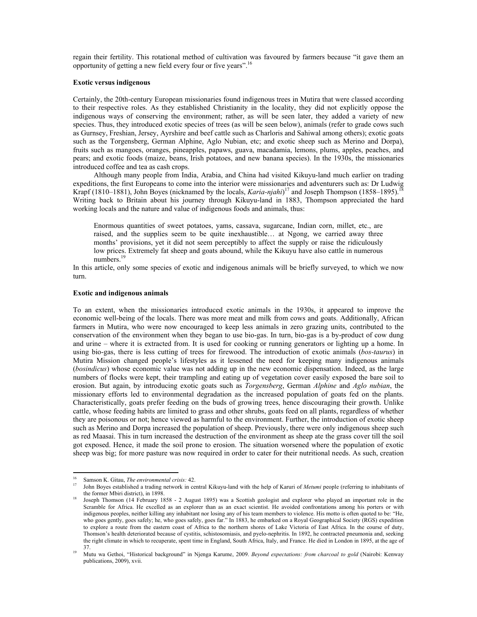regain their fertility. This rotational method of cultivation was favoured by farmers because "it gave them an opportunity of getting a new field every four or five years".16

# **Exotic versus indigenous**

Certainly, the 20th-century European missionaries found indigenous trees in Mutira that were classed according to their respective roles. As they established Christianity in the locality, they did not explicitly oppose the indigenous ways of conserving the environment; rather, as will be seen later, they added a variety of new species. Thus, they introduced exotic species of trees (as will be seen below), animals (refer to grade cows such as Gurnsey, Freshian, Jersey, Ayrshire and beef cattle such as Charloris and Sahiwal among others); exotic goats such as the Torgensberg, German Alphine, Aglo Nubian, etc; and exotic sheep such as Merino and Dorpa), fruits such as mangoes, oranges, pineapples, papaws, guava, macadamia, lemons, plums, apples, peaches, and pears; and exotic foods (maize, beans, Irish potatoes, and new banana species). In the 1930s, the missionaries introduced coffee and tea as cash crops.

 Although many people from India, Arabia, and China had visited Kikuyu-land much earlier on trading expeditions, the first Europeans to come into the interior were missionaries and adventurers such as: Dr Ludwig Krapf (1810–1881), John Boyes (nicknamed by the locals, *Karia-njahi*)<sup>17</sup> and Joseph Thompson (1858–1895).<sup>18</sup> Writing back to Britain about his journey through Kikuyu-land in 1883, Thompson appreciated the hard working locals and the nature and value of indigenous foods and animals, thus:

Enormous quantities of sweet potatoes, yams, cassava, sugarcane, Indian corn, millet, etc., are raised, and the supplies seem to be quite inexhaustible… at Ngong, we carried away three months' provisions, yet it did not seem perceptibly to affect the supply or raise the ridiculously low prices. Extremely fat sheep and goats abound, while the Kikuyu have also cattle in numerous numbers.

In this article, only some species of exotic and indigenous animals will be briefly surveyed, to which we now turn.

#### **Exotic and indigenous animals**

To an extent, when the missionaries introduced exotic animals in the 1930s, it appeared to improve the economic well-being of the locals. There was more meat and milk from cows and goats. Additionally, African farmers in Mutira, who were now encouraged to keep less animals in zero grazing units, contributed to the conservation of the environment when they began to use bio-gas. In turn, bio-gas is a by-product of cow dung and urine – where it is extracted from. It is used for cooking or running generators or lighting up a home. In using bio-gas, there is less cutting of trees for firewood. The introduction of exotic animals (*bos-taurus*) in Mutira Mission changed people's lifestyles as it lessened the need for keeping many indigenous animals (*bosindicus*) whose economic value was not adding up in the new economic dispensation. Indeed, as the large numbers of flocks were kept, their trampling and eating up of vegetation cover easily exposed the bare soil to erosion. But again, by introducing exotic goats such as *Torgensberg*, German *Alphine* and *Aglo nubian*, the missionary efforts led to environmental degradation as the increased population of goats fed on the plants. Characteristically, goats prefer feeding on the buds of growing trees, hence discouraging their growth. Unlike cattle, whose feeding habits are limited to grass and other shrubs, goats feed on all plants, regardless of whether they are poisonous or not; hence viewed as harmful to the environment. Further, the introduction of exotic sheep such as Merino and Dorpa increased the population of sheep. Previously, there were only indigenous sheep such as red Maasai. This in turn increased the destruction of the environment as sheep ate the grass cover till the soil got exposed. Hence, it made the soil prone to erosion. The situation worsened where the population of exotic sheep was big; for more pasture was now required in order to cater for their nutritional needs. As such, creation

-

<sup>&</sup>lt;sup>16</sup> Samson K. Gitau, *The environmental crisis:* 42.<br><sup>17</sup> John Boyes established a trading network in central Kikuyu-land with the help of Karuri of *Metumi* people (referring to inhabitants of the former Mbiri district), in 1898.<br>Joseph Thomson (14 February 1858 - 2 August 1895) was a Scottish geologist and explorer who played an important role in the

Scramble for Africa. He excelled as an explorer than as an exact scientist. He avoided confrontations among his porters or with indigenous peoples, neither killing any inhabitant nor losing any of his team members to violence. His motto is often quoted to be: "He, who goes gently, goes safely; he, who goes safely, goes far." In 1883, he embarked on a Royal Geographical Society (RGS) expedition to explore a route from the eastern coast of Africa to the northern shores of Lake Victoria of East Africa. In the course of duty, Thomson's health deteriorated because of cystitis, schistosomiasis, and pyelo-nephritis. In 1892, he contracted pneumonia and, seeking the right climate in which to recuperate, spent time in England, South Africa, Italy, and France. He died in London in 1895, at the age of 37. 19 Mutu wa Gethoi, "Historical background" in Njenga Karume, 2009. *Beyond expectations: from charcoal to gold* (Nairobi: Kenway

publications, 2009), xvii.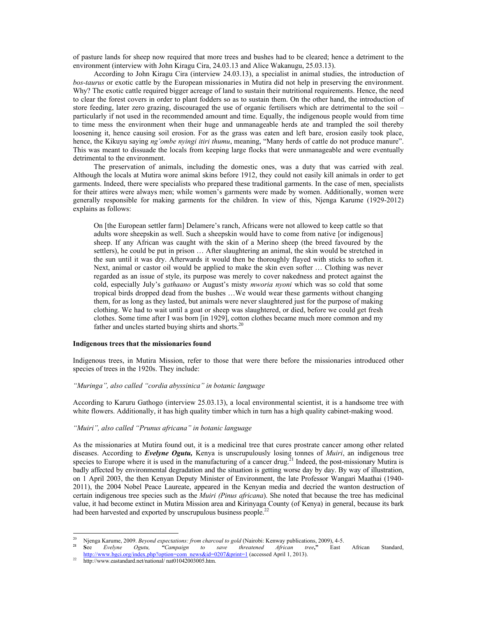of pasture lands for sheep now required that more trees and bushes had to be cleared; hence a detriment to the environment (interview with John Kiragu Cira, 24.03.13 and Alice Wakanugu, 25.03.13).

 According to John Kiragu Cira (interview 24.03.13), a specialist in animal studies, the introduction of *bos-taurus* or exotic cattle by the European missionaries in Mutira did not help in preserving the environment. Why? The exotic cattle required bigger acreage of land to sustain their nutritional requirements. Hence, the need to clear the forest covers in order to plant fodders so as to sustain them. On the other hand, the introduction of store feeding, later zero grazing, discouraged the use of organic fertilisers which are detrimental to the soil – particularly if not used in the recommended amount and time. Equally, the indigenous people would from time to time mess the environment when their huge and unmanageable herds ate and trampled the soil thereby loosening it, hence causing soil erosion. For as the grass was eaten and left bare, erosion easily took place, hence, the Kikuyu saying *ng'ombe nyingi itiri thumu*, meaning, "Many herds of cattle do not produce manure". This was meant to dissuade the locals from keeping large flocks that were unmanageable and were eventually detrimental to the environment.

 The preservation of animals, including the domestic ones, was a duty that was carried with zeal. Although the locals at Mutira wore animal skins before 1912, they could not easily kill animals in order to get garments. Indeed, there were specialists who prepared these traditional garments. In the case of men, specialists for their attires were always men; while women's garments were made by women. Additionally, women were generally responsible for making garments for the children. In view of this, Njenga Karume (1929-2012) explains as follows:

On [the European settler farm] Delamere's ranch, Africans were not allowed to keep cattle so that adults wore sheepskin as well. Such a sheepskin would have to come from native [or indigenous] sheep. If any African was caught with the skin of a Merino sheep (the breed favoured by the settlers), he could be put in prison … After slaughtering an animal, the skin would be stretched in the sun until it was dry. Afterwards it would then be thoroughly flayed with sticks to soften it. Next, animal or castor oil would be applied to make the skin even softer … Clothing was never regarded as an issue of style, its purpose was merely to cover nakedness and protect against the cold, especially July's *gathaano* or August's misty *mworia nyoni* which was so cold that some tropical birds dropped dead from the bushes …We would wear these garments without changing them, for as long as they lasted, but animals were never slaughtered just for the purpose of making clothing. We had to wait until a goat or sheep was slaughtered, or died, before we could get fresh clothes. Some time after I was born [in 1929], cotton clothes became much more common and my father and uncles started buying shirts and shorts.<sup>20</sup>

# **Indigenous trees that the missionaries found**

Indigenous trees, in Mutira Mission, refer to those that were there before the missionaries introduced other species of trees in the 1920s. They include:

### *"Muringa", also called "cordia abyssinica" in botanic language*

According to Karuru Gathogo (interview 25.03.13), a local environmental scientist, it is a handsome tree with white flowers. Additionally, it has high quality timber which in turn has a high quality cabinet-making wood.

# *"Muiri", also called "Prunus africana" in botanic language*

As the missionaries at Mutira found out, it is a medicinal tree that cures prostrate cancer among other related diseases. According to *Evelyne Ogutu,* Kenya is unscrupulously losing tonnes of *Muiri*, an indigenous tree species to Europe where it is used in the manufacturing of a cancer drug.<sup>21</sup> Indeed, the post-missionary Mutira is badly affected by environmental degradation and the situation is getting worse day by day. By way of illustration, on 1 April 2003, the then Kenyan Deputy Minister of Environment, the late Professor Wangari Maathai (1940- 2011), the 2004 Nobel Peace Laureate, appeared in the Kenyan media and decried the wanton destruction of certain indigenous tree species such as the *Muiri (Pinus africana*). She noted that because the tree has medicinal value, it had become extinct in Mutira Mission area and Kirinyaga County (of Kenya) in general, because its bark had been harvested and exported by unscrupulous business people.<sup>22</sup>

 $\overline{20}$ <sup>20</sup> Njenga Karume, 2009. *Beyond expectations: from charcoal to gold* (Nairobi: Kenway publications, 2009), 4-5.<br><sup>21</sup> See *Evelyne Ogutu,* "Campaign to save threatened African tree," East

**<sup>21</sup> S**ee *Evelyne Ogutu, "Campaign to save threatened African tree***,"** East African Standard, http://www.bgci.org/index.php?option=com\_news&id=0207&print=1 (accessed April 1, 2013).

 $22$  http://www.eastandard.net/national/ nat01042003005.htm.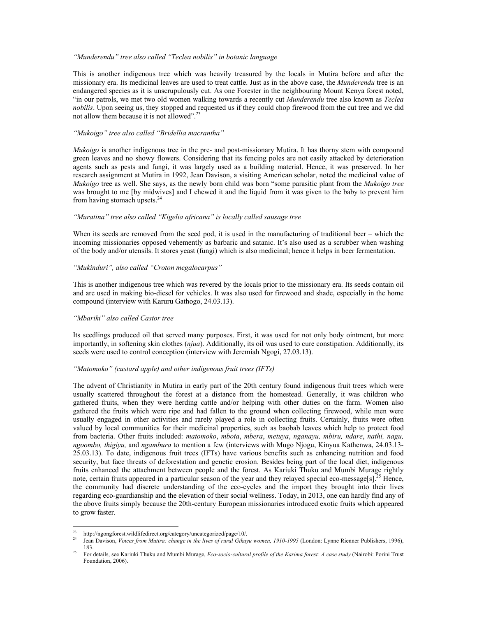# *"Munderendu" tree also called "Teclea nobilis" in botanic language*

This is another indigenous tree which was heavily treasured by the locals in Mutira before and after the missionary era. Its medicinal leaves are used to treat cattle. Just as in the above case, the *Munderendu* tree is an endangered species as it is unscrupulously cut. As one Forester in the neighbouring Mount Kenya forest noted, "in our patrols, we met two old women walking towards a recently cut *Munderendu* tree also known as *Teclea nobilis*. Upon seeing us, they stopped and requested us if they could chop firewood from the cut tree and we did not allow them because it is not allowed".<sup>23</sup>

# *"Mukoigo" tree also called "Bridellia macrantha"*

*Mukoigo* is another indigenous tree in the pre- and post-missionary Mutira. It has thorny stem with compound green leaves and no showy flowers. Considering that its fencing poles are not easily attacked by deterioration agents such as pests and fungi, it was largely used as a building material. Hence, it was preserved. In her research assignment at Mutira in 1992, Jean Davison, a visiting American scholar, noted the medicinal value of *Mukoigo* tree as well. She says, as the newly born child was born "some parasitic plant from the *Mukoigo tree* was brought to me [by midwives] and I chewed it and the liquid from it was given to the baby to prevent him from having stomach upsets.<sup>24</sup>

# *"Muratina" tree also called "Kigelia africana" is locally called sausage tree*

When its seeds are removed from the seed pod, it is used in the manufacturing of traditional beer – which the incoming missionaries opposed vehemently as barbaric and satanic. It's also used as a scrubber when washing of the body and/or utensils. It stores yeast (fungi) which is also medicinal; hence it helps in beer fermentation.

# *"Mukinduri", also called "Croton megalocarpus"*

This is another indigenous tree which was revered by the locals prior to the missionary era. Its seeds contain oil and are used in making bio-diesel for vehicles. It was also used for firewood and shade, especially in the home compound (interview with Karuru Gathogo, 24.03.13).

# *"Mbariki" also called Castor tree*

Its seedlings produced oil that served many purposes. First, it was used for not only body ointment, but more importantly, in softening skin clothes (*njua*). Additionally, its oil was used to cure constipation. Additionally, its seeds were used to control conception (interview with Jeremiah Ngogi, 27.03.13).

# *"Matomoko" (custard apple) and other indigenous fruit trees (IFTs)*

The advent of Christianity in Mutira in early part of the 20th century found indigenous fruit trees which were usually scattered throughout the forest at a distance from the homestead. Generally, it was children who gathered fruits, when they were herding cattle and/or helping with other duties on the farm. Women also gathered the fruits which were ripe and had fallen to the ground when collecting firewood, while men were usually engaged in other activities and rarely played a role in collecting fruits. Certainly, fruits were often valued by local communities for their medicinal properties, such as baobab leaves which help to protect food from bacteria. Other fruits included: *matomoko*, *mbota*, *mbera*, *metuya*, *nganayu, mbiru, ndare*, *nathi, nagu, ngoombo, thigiyu,* and *ngambura* to mention a few (interviews with Mugo Njogu, Kinyua Kathenwa, 24.03.13- 25.03.13). To date, indigenous fruit trees (IFTs) have various benefits such as enhancing nutrition and food security, but face threats of deforestation and genetic erosion. Besides being part of the local diet, indigenous fruits enhanced the attachment between people and the forest. As Kariuki Thuku and Mumbi Murage rightly note, certain fruits appeared in a particular season of the year and they relayed special eco-message[s].<sup>25</sup> Hence, the community had discrete understanding of the eco-cycles and the import they brought into their lives regarding eco-guardianship and the elevation of their social wellness. Today, in 2013, one can hardly find any of the above fruits simply because the 20th-century European missionaries introduced exotic fruits which appeared to grow faster.

-

<sup>&</sup>lt;sup>23</sup> http://ngongforest.wildlifedirect.org/category/uncategorized/page/10/.

Jean Davison, *Voices from Mutira: change in the lives of rural Gikuyu women, 1910-1995* (London: Lynne Rienner Publishers, 1996), 183. 25 For details, see Kariuki Thuku and Mumbi Murage, *Eco-socio-cultural profile of the Karima forest: A case study* (Nairobi: Porini Trust

Foundation, 2006).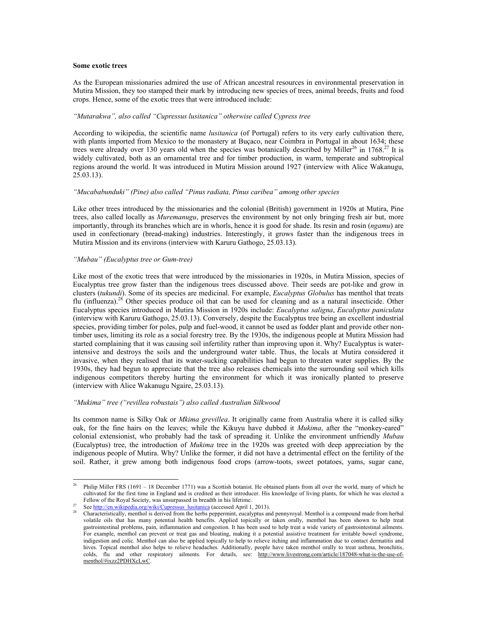## **Some exotic trees**

As the European missionaries admired the use of African ancestral resources in environmental preservation in Mutira Mission, they too stamped their mark by introducing new species of trees, animal breeds, fruits and food crops. Hence, some of the exotic trees that were introduced include:

# *"Mutarakwa", also called "Cupressus lusitanica" otherwise called Cypress tree*

According to wikipedia, the scientific name *lusitanica* (of Portugal) refers to its very early cultivation there, with plants imported from Mexico to the monastery at Buçaco, near Coimbra in Portugal in about 1634; these trees were already over 130 years old when the species was botanically described by Miller<sup>26</sup> in 1768.<sup>27</sup> It is widely cultivated, both as an ornamental tree and for timber production, in warm, temperate and subtropical regions around the world. It was introduced in Mutira Mission around 1927 (interview with Alice Wakanugu,  $25.03.13$ ).

# *"Mucababunduki" (Pine) also called "Pinus radiata, Pinus caribea" among other species*

Like other trees introduced by the missionaries and the colonial (British) government in 1920s at Mutira, Pine trees, also called locally as *Muremanugu*, preserves the environment by not only bringing fresh air but, more importantly, through its branches which are in whorls, hence it is good for shade. Its resin and rosin (*ngamu*) are used in confectionary (bread-making) industries. Interestingly, it grows faster than the indigenous trees in Mutira Mission and its environs (interview with Karuru Gathogo, 25.03.13).

# *"Mubau" (Eucalyptus tree or Gum-tree)*

Like most of the exotic trees that were introduced by the missionaries in 1920s, in Mutira Mission, species of Eucalyptus tree grow faster than the indigenous trees discussed above. Their seeds are pot-like and grow in clusters (*tukundi*). Some of its species are medicinal. For example, *Eucalyptus Globulus* has menthol that treats flu (influenza).<sup>28</sup> Other species produce oil that can be used for cleaning and as a natural insecticide. Other Eucalyptus species introduced in Mutira Mission in 1920s include: *Eucalyptus saligna*, *Eucalyptus paniculata*  (interview with Karuru Gathogo, 25.03.13). Conversely, despite the Eucalyptus tree being an excellent industrial species, providing timber for poles, pulp and fuel-wood, it cannot be used as fodder plant and provide other nontimber uses, limiting its role as a social forestry tree. By the 1930s, the indigenous people at Mutira Mission had started complaining that it was causing soil infertility rather than improving upon it. Why? Eucalyptus is waterintensive and destroys the soils and the underground water table. Thus, the locals at Mutira considered it invasive, when they realised that its water-sucking capabilities had begun to threaten water supplies. By the 1930s, they had begun to appreciate that the tree also releases chemicals into the surrounding soil which kills indigenous competitors thereby hurting the environment for which it was ironically planted to preserve (interview with Alice Wakanugu Ngaire, 25.03.13).

# *"Mukima" tree ("revillea robustais") also called Australian Silkwood*

Its common name is Silky Oak or *Mkima grevillea*. It originally came from Australia where it is called silky oak, for the fine hairs on the leaves; while the Kikuyu have dubbed it *Mukima*, after the "monkey-eared" colonial extensionist, who probably had the task of spreading it. Unlike the environment unfriendly *Mubau* (Eucalyptus) tree, the introduction of *Mukima* tree in the 1920s was greeted with deep appreciation by the indigenous people of Mutira. Why? Unlike the former, it did not have a detrimental effect on the fertility of the soil. Rather, it grew among both indigenous food crops (arrow-toots, sweet potatoes, yams, sugar cane,

 $26\,$ 26 Philip Miller FRS (1691 – 18 December 1771) was a Scottish botanist. He obtained plants from all over the world, many of which he cultivated for the first time in England and is credited as their introducer. His knowledge of living plants, for which he was elected a

See http://en.wikipedia.org/wiki/Cupressus\_lusitanica (accessed April 1, 2013).<br>Characteristically, menthol is derived from the herbs peppermint, eucalyptus and pennyroyal. Menthol is a compound made from herbal volatile oils that has many potential health benefits. Applied topically or taken orally, menthol has been shown to help treat gastrointestinal problems, pain, inflammation and congestion. It has been used to help treat a wide variety of gastrointestinal ailments. For example, menthol can prevent or treat gas and bloating, making it a potential assistive treatment for irritable bowel syndrome, indigestion and colic. Menthol can also be applied topically to help to relieve itching and inflammation due to contact dermatitis and hives. Topical menthol also helps to relieve headaches. Additionally, people have taken menthol orally to treat asthma, bronchitis, colds, flu and other respiratory ailments. For details, see: http://www.livestrong.com/article/187048-what-is-the-use-ofmenthol/#ixzz2PDHXcLwC.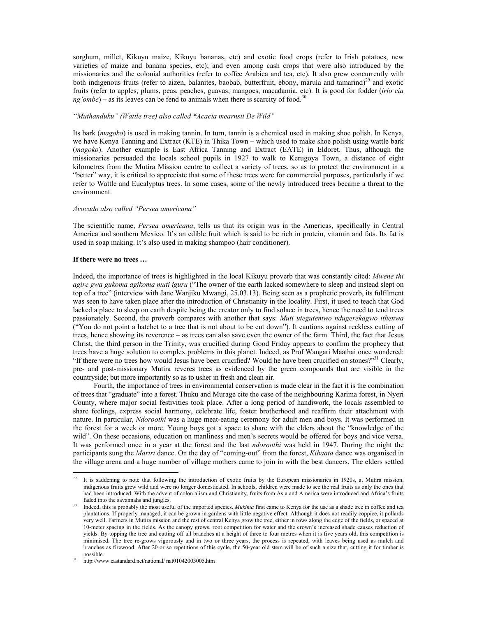sorghum, millet, Kikuyu maize, Kikuyu bananas, etc) and exotic food crops (refer to Irish potatoes, new varieties of maize and banana species, etc); and even among cash crops that were also introduced by the missionaries and the colonial authorities (refer to coffee Arabica and tea, etc). It also grew concurrently with both indigenous fruits (refer to aizen, balanites, baobab, butterfruit, ebony, marula and tamarind)<sup>29</sup> and exotic fruits (refer to apples, plums, peas, peaches, guavas, mangoes, macadamia, etc). It is good for fodder (*irio cia*   $ng'ombe$ ) – as its leaves can be fend to animals when there is scarcity of food.<sup>3</sup>

# *"Muthanduku" (Wattle tree) also called "Acacia mearnsii De Wild"*

Its bark (*magoko*) is used in making tannin. In turn, tannin is a chemical used in making shoe polish. In Kenya, we have Kenya Tanning and Extract (KTE) in Thika Town – which used to make shoe polish using wattle bark (*magoko*). Another example is East Africa Tanning and Extract (EATE) in Eldoret. Thus, although the missionaries persuaded the locals school pupils in 1927 to walk to Kerugoya Town, a distance of eight kilometres from the Mutira Mission centre to collect a variety of trees, so as to protect the environment in a "better" way, it is critical to appreciate that some of these trees were for commercial purposes, particularly if we refer to Wattle and Eucalyptus trees. In some cases, some of the newly introduced trees became a threat to the environment.

## *Avocado also called "Persea americana"*

The scientific name, *Persea americana*, tells us that its origin was in the Americas, specifically in Central America and southern Mexico. It's an edible fruit which is said to be rich in protein, vitamin and fats. Its fat is used in soap making. It's also used in making shampoo (hair conditioner).

#### **If there were no trees …**

Indeed, the importance of trees is highlighted in the local Kikuyu proverb that was constantly cited: *Mwene thi agire gwa gukoma agikoma muti iguru* ("The owner of the earth lacked somewhere to sleep and instead slept on top of a tree" (interview with Jane Wanjiku Mwangi, 25.03.13). Being seen as a prophetic proverb, its fulfilment was seen to have taken place after the introduction of Christianity in the locality. First, it used to teach that God lacked a place to sleep on earth despite being the creator only to find solace in trees, hence the need to tend trees passionately. Second, the proverb compares with another that says: *Muti utegutemwo ndugerekagwo ithenwa* ("You do not point a hatchet to a tree that is not about to be cut down"). It cautions against reckless cutting of trees, hence showing its reverence – as trees can also save even the owner of the farm. Third, the fact that Jesus Christ, the third person in the Trinity, was crucified during Good Friday appears to confirm the prophecy that trees have a huge solution to complex problems in this planet. Indeed, as Prof Wangari Maathai once wondered: "If there were no trees how would Jesus have been crucified? Would he have been crucified on stones?"<sup>31</sup> Clearly, pre- and post-missionary Mutira reveres trees as evidenced by the green compounds that are visible in the countryside; but more importantly so as to usher in fresh and clean air.

 Fourth, the importance of trees in environmental conservation is made clear in the fact it is the combination of trees that "graduate" into a forest. Thuku and Murage cite the case of the neighbouring Karima forest, in Nyeri County, where major social festivities took place. After a long period of handiwork, the locals assembled to share feelings, express social harmony, celebrate life, foster brotherhood and reaffirm their attachment with nature. In particular, *Ndoroothi* was a huge meat-eating ceremony for adult men and boys. It was performed in the forest for a week or more. Young boys got a space to share with the elders about the "knowledge of the wild". On these occasions, education on manliness and men's secrets would be offered for boys and vice versa. It was performed once in a year at the forest and the last *ndoroothi* was held in 1947. During the night the participants sung the *Mariri* dance. On the day of "coming-out" from the forest, *Kibaata* dance was organised in the village arena and a huge number of village mothers came to join in with the best dancers. The elders settled

<sup>29</sup> 29 It is saddening to note that following the introduction of exotic fruits by the European missionaries in 1920s, at Mutira mission, indigenous fruits grew wild and were no longer domesticated. In schools, children were made to see the real fruits as only the ones that had been introduced. With the advent of colonialism and Christianity, fruits from Asia and America were introduced and Africa's fruits faded into the savannahs and jungles.

Indeed, this is probably the most useful of the imported species. Mukima first came to Kenya for the use as a shade tree in coffee and tea plantations. If properly managed, it can be grown in gardens with little negative effect. Although it does not readily coppice, it pollards very well. Farmers in Mutira mission and the rest of central Kenya grow the tree, either in rows along the edge of the fields, or spaced at 10-meter spacing in the fields. As the canopy grows, root competition for water and the crown's increased shade causes reduction of yields. By topping the tree and cutting off all branches at a height of three to four metres when it is five years old, this competition is minimised. The tree re-grows vigorously and in two or three years, the process is repeated, with leaves being used as mulch and branches as firewood. After 20 or so repetitions of this cycle, the 50-year old stem will be of such a size that, cutting it for timber is possible. 31 http://www.eastandard.net/national/ nat01042003005.htm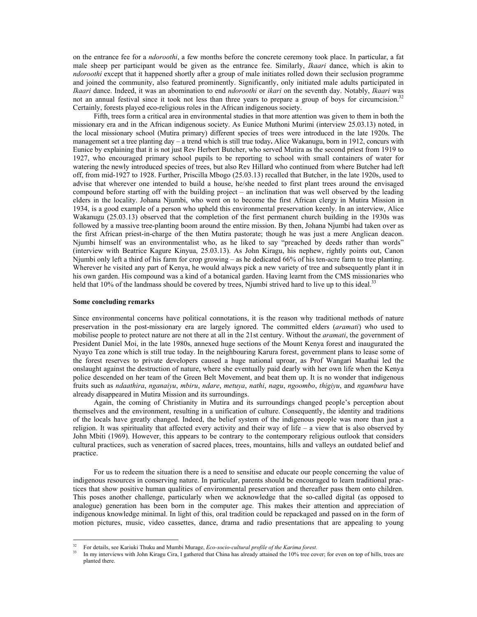on the entrance fee for a *ndoroothi*, a few months before the concrete ceremony took place. In particular, a fat male sheep per participant would be given as the entrance fee. Similarly, *Ikaari* dance, which is akin to *ndoroothi* except that it happened shortly after a group of male initiates rolled down their seclusion programme and joined the community, also featured prominently. Significantly, only initiated male adults participated in *Ikaari* dance. Indeed, it was an abomination to end *ndoroothi* or *ikari* on the seventh day. Notably, *Ikaari* was not an annual festival since it took not less than three years to prepare a group of boys for circumcision.<sup>3</sup> Certainly, forests played eco-religious roles in the African indigenous society.

 Fifth, trees form a critical area in environmental studies in that more attention was given to them in both the missionary era and in the African indigenous society. As Eunice Muthoni Murimi (interview 25.03.13) noted, in the local missionary school (Mutira primary) different species of trees were introduced in the late 1920s. The management set a tree planting day – a trend which is still true today**.** Alice Wakanugu, born in 1912, concurs with Eunice by explaining that it is not just Rev Herbert Butcher, who served Mutira as the second priest from 1919 to 1927, who encouraged primary school pupils to be reporting to school with small containers of water for watering the newly introduced species of trees, but also Rev Hillard who continued from where Butcher had left off, from mid-1927 to 1928. Further, Priscilla Mbogo (25.03.13) recalled that Butcher, in the late 1920s, used to advise that wherever one intended to build a house, he/she needed to first plant trees around the envisaged compound before starting off with the building project – an inclination that was well observed by the leading elders in the locality. Johana Njumbi, who went on to become the first African clergy in Mutira Mission in 1934, is a good example of a person who upheld this environmental preservation keenly. In an interview, Alice Wakanugu (25.03.13) observed that the completion of the first permanent church building in the 1930s was followed by a massive tree-planting boom around the entire mission. By then, Johana Njumbi had taken over as the first African priest-in-charge of the then Mutira pastorate; though he was just a mere Anglican deacon. Njumbi himself was an environmentalist who, as he liked to say "preached by deeds rather than words" (interview with Beatrice Kagure Kinyua, 25.03.13). As John Kiragu, his nephew, rightly points out, Canon Njumbi only left a third of his farm for crop growing – as he dedicated 66% of his ten-acre farm to tree planting. Wherever he visited any part of Kenya, he would always pick a new variety of tree and subsequently plant it in his own garden. His compound was a kind of a botanical garden. Having learnt from the CMS missionaries who held that 10% of the landmass should be covered by trees, Njumbi strived hard to live up to this ideal.<sup>33</sup>

#### **Some concluding remarks**

Since environmental concerns have political connotations, it is the reason why traditional methods of nature preservation in the post-missionary era are largely ignored. The committed elders (*aramati*) who used to mobilise people to protect nature are not there at all in the 21st century. Without the *aramati*, the government of President Daniel Moi, in the late 1980s, annexed huge sections of the Mount Kenya forest and inaugurated the Nyayo Tea zone which is still true today. In the neighbouring Karura forest, government plans to lease some of the forest reserves to private developers caused a huge national uproar, as Prof Wangari Maathai led the onslaught against the destruction of nature, where she eventually paid dearly with her own life when the Kenya police descended on her team of the Green Belt Movement, and beat them up. It is no wonder that indigenous fruits such as *ndaathira*, *nganaiyu*, *mbiru*, *ndare*, *metuya*, *nathi*, *nagu*, *ngoombo*, *thigiyu*, and *ngambura* have already disappeared in Mutira Mission and its surroundings.

Again, the coming of Christianity in Mutira and its surroundings changed people's perception about themselves and the environment, resulting in a unification of culture. Consequently, the identity and traditions of the locals have greatly changed. Indeed, the belief system of the indigenous people was more than just a religion. It was spirituality that affected every activity and their way of life – a view that is also observed by John Mbiti (1969). However, this appears to be contrary to the contemporary religious outlook that considers cultural practices, such as veneration of sacred places, trees, mountains, hills and valleys an outdated belief and practice.

 For us to redeem the situation there is a need to sensitise and educate our people concerning the value of indigenous resources in conserving nature. In particular, parents should be encouraged to learn traditional practices that show positive human qualities of environmental preservation and thereafter pass them onto children. This poses another challenge, particularly when we acknowledge that the so-called digital (as opposed to analogue) generation has been born in the computer age. This makes their attention and appreciation of indigenous knowledge minimal. In light of this, oral tradition could be repackaged and passed on in the form of motion pictures, music, video cassettes, dance, drama and radio presentations that are appealing to young

 $32$ <sup>32</sup> For details, see Kariuki Thuku and Mumbi Murage, *Eco-socio-cultural profile of the Karima forest.* 

In my interviews with John Kiragu Cira, I gathered that China has already attained the 10% tree cover; for even on top of hills, trees are planted there.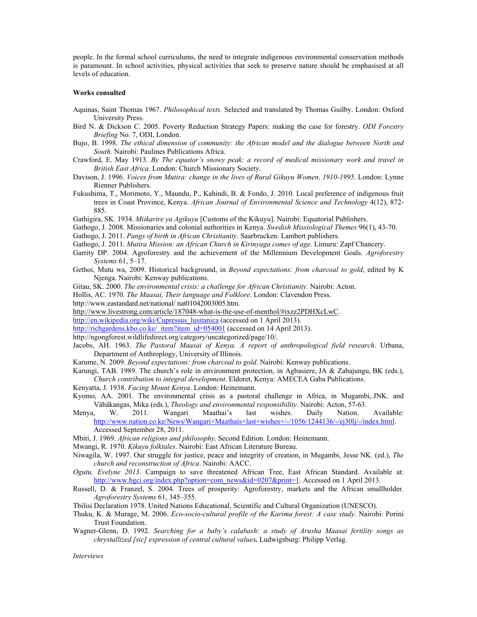people. In the formal school curriculums, the need to integrate indigenous environmental conservation methods is paramount. In school activities, physical activities that seek to preserve nature should be emphasised at all levels of education.

#### **Works consulted**

- Aquinas, Saint Thomas 1967. *Philosophical texts.* Selected and translated by Thomas Guilby. London: Oxford University Press.
- Bird N. & Dickson C. 2005. Poverty Reduction Strategy Papers: making the case for forestry. *ODI Forestry Briefing* No. 7, ODI, London.
- Bujo, B. 1998. *The ethical dimension of community: the African model and the dialogue between North and South.* Nairobi: Paulines Publications Africa.
- Crawford, E. May 1913. *By The equator's snowy peak: a record of medical missionary work and travel in British East Africa*. London: Church Missionary Society.
- Davison, J. 1996. *Voices from Mutira: change in the lives of Rural Gikuyu Women, 1910-1995*. London: Lynne Rienner Publishers.
- Fukushima, T., Morimoto, Y., Maundu, P., Kahindi, B. & Fondo, J. 2010. Local preference of indigenous fruit trees in Coast Province, Kenya. *African Journal of Environmental Science and Technology* 4(12), 872- 885.
- Gathigira, SK. 1934. *Miikarire ya Agikuyu* [Customs of the Kikuyu]. Nairobi: Equatorial Publishers.
- Gathogo, J. 2008. Missionaries and colonial authorities in Kenya. *Swedish Missiological Themes* 96(1), 43-70.
- Gathogo, J. 2011. *Pangs of birth in African Christianity*. Saarbrucken: Lambert publishers.
- Gathogo, J. 2011. *Mutira Mission: an African Church in Kirinyaga comes of age*. Limuru: Zapf Chancery.
- Garrity DP. 2004. Agroforestry and the achievement of the Millennium Development Goals. *Agroforestry Systems* 61, 5–17.
- Gethoi, Mutu wa, 2009. Historical background, in *Beyond expectations: from charcoal to gold*, edited by K Njenga. Nairobi: Kenway publications.
- Gitau, SK. 2000. *The environmental crisis: a challenge for African Christianity*. Nairobi: Acton.

Hollis, AC. 1970. *The Maasai, Their language and Folklore*. London: Clavendon Press.

- http://www.eastandard.net/national/ nat01042003005.htm.
- http://www.livestrong.com/article/187048-what-is-the-use-of-menthol/#ixzz2PDHXcLwC.
- http://en.wikipedia.org/wiki/Cupressus\_lusitanica (accessed on 1 April 2013).
- http://richgardens.kbo.co.ke/\_item?item\_id=054001 (accessed on 14 April 2013).
- http://ngongforest.wildlifedirect.org/category/uncategorized/page/10/.
- Jacobs, AH. 1963. *The Pastoral Maasai of Kenya. A report of anthropological field research*. Urbana, Department of Anthroplogy, University of Illinois.
- Karume, N. 2009. *Beyond expectations: from charcoal to gold*. Nairobi: Kenway publications.

Karungi, TAB. 1989. The church's role in environment protection, in Agbasiere, JA & Zabajungu, BK (eds.), *Church contribution to integral development*. Eldoret, Kenya: AMECEA Gaba Publications.

- Kenyatta, J. 1938. *Facing Mount Kenya*. London: Heinemann.
- Kyomo, AA. 2001. The environmental crisis as a pastoral challenge in Africa, in Mugambi, JNK. and Vähäkangas, Mika (eds.), *Theology and environmental responsibility.* Nairobi: Acton, 57-63.
- Menya, W. 2011. Wangari Maathai's last wishes. Daily Nation. Available: http://www.nation.co.ke/News/Wangari+Maathais+last+wishes+/-/1056/1244136/-/ej30lj/-/index.html. Accessed September 28, 2011.
- Mbiti, J. 1969. *African religions and philosophy*. Second Edition. London: Heinemann.

Mwangi, R. 1970. *Kikuyu folktales*. Nairobi: East African Literature Bureau.

- Niwagila, W. 1997. Our struggle for justice, peace and integrity of creation, in Mugambi, Jesse NK. (ed.), *The church and reconstruction of Africa*. Nairobi: AACC.
- *Ogutu, Evelyne 2013.* Campaign to save threatened African Tree, East African Standard. Available at: http://www.bgci.org/index.php?option=com\_news&id=0207&print=1. Accessed on 1 April 2013.
- Russell, D. & Franzel, S. 2004. Trees of prosperity: Agroforestry, markets and the African smallholder. *Agroforestry Systems* 61, 345–355.
- Tbilisi Declaration 1978. United Nations Educational, Scientific and Cultural Organization (UNESCO).
- Thuku, K. & Murage, M. 2006. *Eco-socio-cultural profile of the Karima forest: A case study*. Nairobi: Porini Trust Foundation.
- Wagner-Glenn, D. 1992. *Searching for a baby's calabash: a study of Arusha Maasai fertility songs as chrystallized [sic] expression of central cultural values.* Ludwigsburg: Philipp Verlag.

*Interviews*